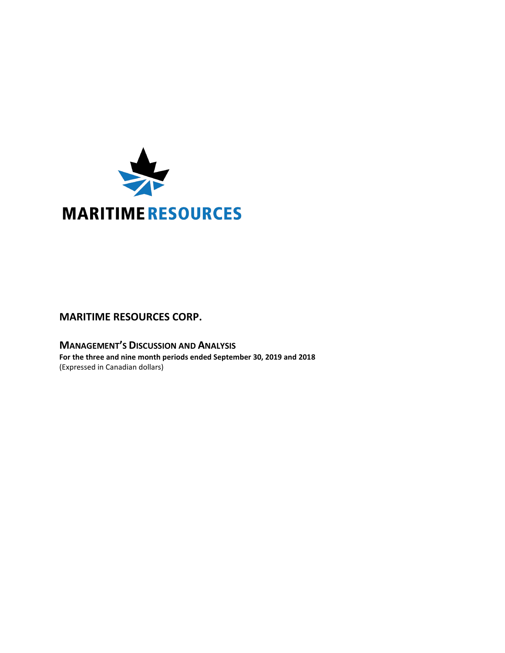

# **MARITIME RESOURCES CORP.**

**MANAGEMENT'S DISCUSSION AND ANALYSIS For the three and nine month periods ended September 30, 2019 and 2018** (Expressed in Canadian dollars)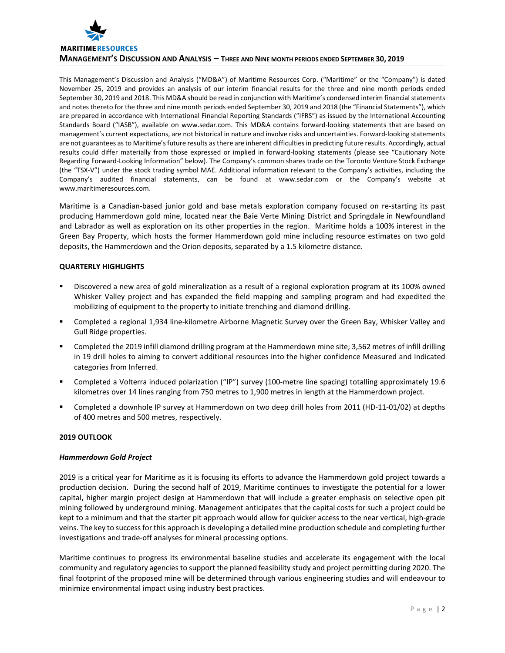

This Management's Discussion and Analysis ("MD&A") of Maritime Resources Corp. ("Maritime" or the "Company") is dated November 25, 2019 and provides an analysis of our interim financial results for the three and nine month periods ended September 30, 2019 and 2018. This MD&A should be read in conjunction with Maritime's condensed interim financial statements and notes thereto for the three and nine month periods ended September 30, 2019 and 2018 (the "Financial Statements"), which are prepared in accordance with International Financial Reporting Standards ("IFRS") as issued by the International Accounting Standards Board ("IASB"), available on www.sedar.com. This MD&A contains forward-looking statements that are based on management's current expectations, are not historical in nature and involve risks and uncertainties. Forward-looking statements are not guarantees as to Maritime's future results as there are inherent difficulties in predicting future results. Accordingly, actual results could differ materially from those expressed or implied in forward-looking statements (please see "Cautionary Note Regarding Forward-Looking Information" below). The Company's common shares trade on the Toronto Venture Stock Exchange (the "TSX-V") under the stock trading symbol MAE. Additional information relevant to the Company's activities, including the Company's audited financial statements, can be found at www.sedar.com or the Company's website at www.maritimeresources.com.

Maritime is a Canadian-based junior gold and base metals exploration company focused on re-starting its past producing Hammerdown gold mine, located near the Baie Verte Mining District and Springdale in Newfoundland and Labrador as well as exploration on its other properties in the region. Maritime holds a 100% interest in the Green Bay Property, which hosts the former Hammerdown gold mine including resource estimates on two gold deposits, the Hammerdown and the Orion deposits, separated by a 1.5 kilometre distance.

# **QUARTERLY HIGHLIGHTS**

- Discovered a new area of gold mineralization as a result of a regional exploration program at its 100% owned Whisker Valley project and has expanded the field mapping and sampling program and had expedited the mobilizing of equipment to the property to initiate trenching and diamond drilling.
- Completed a regional 1,934 line-kilometre Airborne Magnetic Survey over the Green Bay, Whisker Valley and Gull Ridge properties.
- Completed the 2019 infill diamond drilling program at the Hammerdown mine site; 3,562 metres of infill drilling in 19 drill holes to aiming to convert additional resources into the higher confidence Measured and Indicated categories from Inferred.
- Completed a Volterra induced polarization ("IP") survey (100-metre line spacing) totalling approximately 19.6 kilometres over 14 lines ranging from 750 metres to 1,900 metres in length at the Hammerdown project.
- Completed a downhole IP survey at Hammerdown on two deep drill holes from 2011 (HD-11-01/02) at depths of 400 metres and 500 metres, respectively.

#### **2019 OUTLOOK**

#### *Hammerdown Gold Project*

2019 is a critical year for Maritime as it is focusing its efforts to advance the Hammerdown gold project towards a production decision. During the second half of 2019, Maritime continues to investigate the potential for a lower capital, higher margin project design at Hammerdown that will include a greater emphasis on selective open pit mining followed by underground mining. Management anticipates that the capital costs for such a project could be kept to a minimum and that the starter pit approach would allow for quicker access to the near vertical, high-grade veins. The key to success for this approach is developing a detailed mine production schedule and completing further investigations and trade-off analyses for mineral processing options.

Maritime continues to progress its environmental baseline studies and accelerate its engagement with the local community and regulatory agencies to support the planned feasibility study and project permitting during 2020. The final footprint of the proposed mine will be determined through various engineering studies and will endeavour to minimize environmental impact using industry best practices.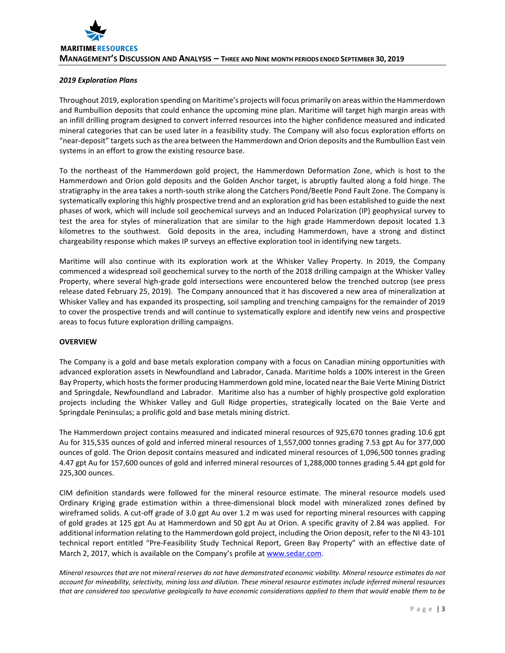## *2019 Exploration Plans*

Throughout 2019, exploration spending on Maritime's projects will focus primarily on areas within the Hammerdown and Rumbullion deposits that could enhance the upcoming mine plan. Maritime will target high margin areas with an infill drilling program designed to convert inferred resources into the higher confidence measured and indicated mineral categories that can be used later in a feasibility study. The Company will also focus exploration efforts on "near-deposit" targets such as the area between the Hammerdown and Orion deposits and the Rumbullion East vein systems in an effort to grow the existing resource base.

To the northeast of the Hammerdown gold project, the Hammerdown Deformation Zone, which is host to the Hammerdown and Orion gold deposits and the Golden Anchor target, is abruptly faulted along a fold hinge. The stratigraphy in the area takes a north-south strike along the Catchers Pond/Beetle Pond Fault Zone. The Company is systematically exploring this highly prospective trend and an exploration grid has been established to guide the next phases of work, which will include soil geochemical surveys and an Induced Polarization (IP) geophysical survey to test the area for styles of mineralization that are similar to the high grade Hammerdown deposit located 1.3 kilometres to the southwest. Gold deposits in the area, including Hammerdown, have a strong and distinct chargeability response which makes IP surveys an effective exploration tool in identifying new targets.

Maritime will also continue with its exploration work at the Whisker Valley Property. In 2019, the Company commenced a widespread soil geochemical survey to the north of the 2018 drilling campaign at the Whisker Valley Property, where several high-grade gold intersections were encountered below the trenched outcrop (see press release dated February 25, 2019). The Company announced that it has discovered a new area of mineralization at Whisker Valley and has expanded its prospecting, soil sampling and trenching campaigns for the remainder of 2019 to cover the prospective trends and will continue to systematically explore and identify new veins and prospective areas to focus future exploration drilling campaigns.

#### **OVERVIEW**

The Company is a gold and base metals exploration company with a focus on Canadian mining opportunities with advanced exploration assets in Newfoundland and Labrador, Canada. Maritime holds a 100% interest in the Green Bay Property, which hosts the former producing Hammerdown gold mine, located near the Baie Verte Mining District and Springdale, Newfoundland and Labrador. Maritime also has a number of highly prospective gold exploration projects including the Whisker Valley and Gull Ridge properties, strategically located on the Baie Verte and Springdale Peninsulas; a prolific gold and base metals mining district.

The Hammerdown project contains measured and indicated mineral resources of 925,670 tonnes grading 10.6 gpt Au for 315,535 ounces of gold and inferred mineral resources of 1,557,000 tonnes grading 7.53 gpt Au for 377,000 ounces of gold. The Orion deposit contains measured and indicated mineral resources of 1,096,500 tonnes grading 4.47 gpt Au for 157,600 ounces of gold and inferred mineral resources of 1,288,000 tonnes grading 5.44 gpt gold for 225,300 ounces.

CIM definition standards were followed for the mineral resource estimate. The mineral resource models used Ordinary Kriging grade estimation within a three-dimensional block model with mineralized zones defined by wireframed solids. A cut-off grade of 3.0 gpt Au over 1.2 m was used for reporting mineral resources with capping of gold grades at 125 gpt Au at Hammerdown and 50 gpt Au at Orion. A specific gravity of 2.84 was applied. For additional information relating to the Hammerdown gold project, including the Orion deposit, refer to the NI 43-101 technical report entitled "Pre-Feasibility Study Technical Report, Green Bay Property" with an effective date of March 2, 2017, which is available on the Company's profile a[t www.sedar.com.](http://www.sedar.com/)

*Mineral resources that are not mineral reserves do not have demonstrated economic viability. Mineral resource estimates do not account for mineability, selectivity, mining loss and dilution. These mineral resource estimates include inferred mineral resources that are considered too speculative geologically to have economic considerations applied to them that would enable them to be*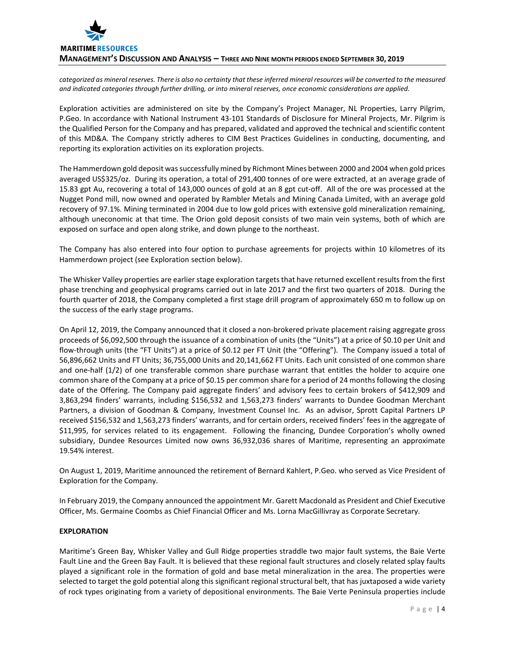

*categorized as mineral reserves. There is also no certainty that these inferred mineral resources will be converted to the measured and indicated categories through further drilling, or into mineral reserves, once economic considerations are applied.*

Exploration activities are administered on site by the Company's Project Manager, NL Properties, Larry Pilgrim, P.Geo. In accordance with National Instrument 43-101 Standards of Disclosure for Mineral Projects, Mr. Pilgrim is the Qualified Person for the Company and has prepared, validated and approved the technical and scientific content of this MD&A. The Company strictly adheres to CIM Best Practices Guidelines in conducting, documenting, and reporting its exploration activities on its exploration projects.

The Hammerdown gold deposit was successfully mined by Richmont Mines between 2000 and 2004 when gold prices averaged US\$325/oz. During its operation, a total of 291,400 tonnes of ore were extracted, at an average grade of 15.83 gpt Au, recovering a total of 143,000 ounces of gold at an 8 gpt cut-off. All of the ore was processed at the Nugget Pond mill, now owned and operated by Rambler Metals and Mining Canada Limited, with an average gold recovery of 97.1%. Mining terminated in 2004 due to low gold prices with extensive gold mineralization remaining, although uneconomic at that time. The Orion gold deposit consists of two main vein systems, both of which are exposed on surface and open along strike, and down plunge to the northeast.

The Company has also entered into four option to purchase agreements for projects within 10 kilometres of its Hammerdown project (see Exploration section below).

The Whisker Valley properties are earlier stage exploration targets that have returned excellent results from the first phase trenching and geophysical programs carried out in late 2017 and the first two quarters of 2018. During the fourth quarter of 2018, the Company completed a first stage drill program of approximately 650 m to follow up on the success of the early stage programs.

On April 12, 2019, the Company announced that it closed a non-brokered private placement raising aggregate gross proceeds of \$6,092,500 through the issuance of a combination of units (the "Units") at a price of \$0.10 per Unit and flow-through units (the "FT Units") at a price of \$0.12 per FT Unit (the "Offering"). The Company issued a total of 56,896,662 Units and FT Units; 36,755,000 Units and 20,141,662 FT Units. Each unit consisted of one common share and one-half (1/2) of one transferable common share purchase warrant that entitles the holder to acquire one common share of the Company at a price of \$0.15 per common share for a period of 24 months following the closing date of the Offering. The Company paid aggregate finders' and advisory fees to certain brokers of \$412,909 and 3,863,294 finders' warrants, including \$156,532 and 1,563,273 finders' warrants to Dundee Goodman Merchant Partners, a division of Goodman & Company, Investment Counsel Inc. As an advisor, Sprott Capital Partners LP received \$156,532 and 1,563,273 finders' warrants, and for certain orders, received finders' fees in the aggregate of \$11,995, for services related to its engagement. Following the financing, Dundee Corporation's wholly owned subsidiary, Dundee Resources Limited now owns 36,932,036 shares of Maritime, representing an approximate 19.54% interest.

On August 1, 2019, Maritime announced the retirement of Bernard Kahlert, P.Geo. who served as Vice President of Exploration for the Company.

In February 2019, the Company announced the appointment Mr. Garett Macdonald as President and Chief Executive Officer, Ms. Germaine Coombs as Chief Financial Officer and Ms. Lorna MacGillivray as Corporate Secretary.

#### **EXPLORATION**

Maritime's Green Bay, Whisker Valley and Gull Ridge properties straddle two major fault systems, the Baie Verte Fault Line and the Green Bay Fault. It is believed that these regional fault structures and closely related splay faults played a significant role in the formation of gold and base metal mineralization in the area. The properties were selected to target the gold potential along this significant regional structural belt, that has juxtaposed a wide variety of rock types originating from a variety of depositional environments. The Baie Verte Peninsula properties include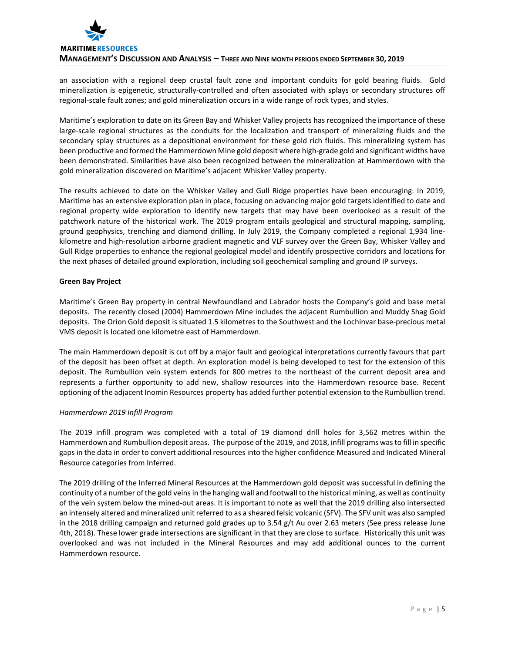

an association with a regional deep crustal fault zone and important conduits for gold bearing fluids. Gold mineralization is epigenetic, structurally-controlled and often associated with splays or secondary structures off regional-scale fault zones; and gold mineralization occurs in a wide range of rock types, and styles.

Maritime's exploration to date on its Green Bay and Whisker Valley projects has recognized the importance of these large-scale regional structures as the conduits for the localization and transport of mineralizing fluids and the secondary splay structures as a depositional environment for these gold rich fluids. This mineralizing system has been productive and formed the Hammerdown Mine gold deposit where high-grade gold and significant widths have been demonstrated. Similarities have also been recognized between the mineralization at Hammerdown with the gold mineralization discovered on Maritime's adjacent Whisker Valley property.

The results achieved to date on the Whisker Valley and Gull Ridge properties have been encouraging. In 2019, Maritime has an extensive exploration plan in place, focusing on advancing major gold targets identified to date and regional property wide exploration to identify new targets that may have been overlooked as a result of the patchwork nature of the historical work. The 2019 program entails geological and structural mapping, sampling, ground geophysics, trenching and diamond drilling. In July 2019, the Company completed a regional 1,934 linekilometre and high-resolution airborne gradient magnetic and VLF survey over the Green Bay, Whisker Valley and Gull Ridge properties to enhance the regional geological model and identify prospective corridors and locations for the next phases of detailed ground exploration, including soil geochemical sampling and ground IP surveys.

# **Green Bay Project**

Maritime's Green Bay property in central Newfoundland and Labrador hosts the Company's gold and base metal deposits. The recently closed (2004) Hammerdown Mine includes the adjacent Rumbullion and Muddy Shag Gold deposits. The Orion Gold deposit is situated 1.5 kilometres to the Southwest and the Lochinvar base-precious metal VMS deposit is located one kilometre east of Hammerdown.

The main Hammerdown deposit is cut off by a major fault and geological interpretations currently favours that part of the deposit has been offset at depth. An exploration model is being developed to test for the extension of this deposit. The Rumbullion vein system extends for 800 metres to the northeast of the current deposit area and represents a further opportunity to add new, shallow resources into the Hammerdown resource base. Recent optioning of the adjacent Inomin Resources property has added further potential extension to the Rumbullion trend.

# *Hammerdown 2019 Infill Program*

The 2019 infill program was completed with a total of 19 diamond drill holes for 3,562 metres within the Hammerdown and Rumbullion deposit areas. The purpose of the 2019, and 2018, infill programs was to fill in specific gaps in the data in order to convert additional resources into the higher confidence Measured and Indicated Mineral Resource categories from Inferred.

The 2019 drilling of the Inferred Mineral Resources at the Hammerdown gold deposit was successful in defining the continuity of a number of the gold veins in the hanging wall and footwall to the historical mining, as well as continuity of the vein system below the mined-out areas. It is important to note as well that the 2019 drilling also intersected an intensely altered and mineralized unit referred to as a sheared felsic volcanic (SFV). The SFV unit was also sampled in the 2018 drilling campaign and returned gold grades up to 3.54 g/t Au over 2.63 meters (See press release June 4th, 2018). These lower grade intersections are significant in that they are close to surface. Historically this unit was overlooked and was not included in the Mineral Resources and may add additional ounces to the current Hammerdown resource.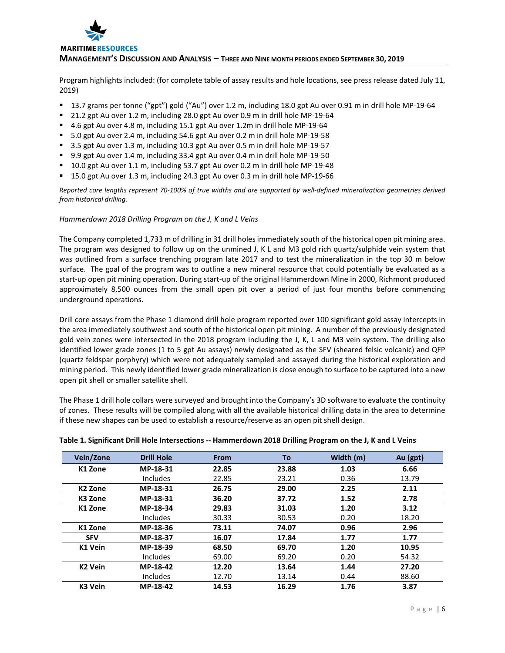

Program highlights included: (for complete table of assay results and hole locations, see press release dated July 11, 2019)

- 13.7 grams per tonne ("gpt") gold ("Au") over 1.2 m, including 18.0 gpt Au over 0.91 m in drill hole MP-19-64
- 21.2 gpt Au over 1.2 m, including 28.0 gpt Au over 0.9 m in drill hole MP-19-64
- 4.6 gpt Au over 4.8 m, including 15.1 gpt Au over 1.2m in drill hole MP-19-64
- 5.0 gpt Au over 2.4 m, including 54.6 gpt Au over 0.2 m in drill hole MP-19-58
- 3.5 gpt Au over 1.3 m, including 10.3 gpt Au over 0.5 m in drill hole MP-19-57
- 9.9 gpt Au over 1.4 m, including 33.4 gpt Au over 0.4 m in drill hole MP-19-50
- 10.0 gpt Au over 1.1 m, including 53.7 gpt Au over 0.2 m in drill hole MP-19-48
- 15.0 gpt Au over 1.3 m, including 24.3 gpt Au over 0.3 m in drill hole MP-19-66

*Reported core lengths represent 70-100% of true widths and are supported by well-defined mineralization geometries derived from historical drilling.*

#### *Hammerdown 2018 Drilling Program on the J, K and L Veins*

The Company completed 1,733 m of drilling in 31 drill holes immediately south of the historical open pit mining area. The program was designed to follow up on the unmined J, K L and M3 gold rich quartz/sulphide vein system that was outlined from a surface trenching program late 2017 and to test the mineralization in the top 30 m below surface. The goal of the program was to outline a new mineral resource that could potentially be evaluated as a start-up open pit mining operation. During start-up of the original Hammerdown Mine in 2000, Richmont produced approximately 8,500 ounces from the small open pit over a period of just four months before commencing underground operations.

Drill core assays from the Phase 1 diamond drill hole program reported over 100 significant gold assay intercepts in the area immediately southwest and south of the historical open pit mining. A number of the previously designated gold vein zones were intersected in the 2018 program including the J, K, L and M3 vein system. The drilling also identified lower grade zones (1 to 5 gpt Au assays) newly designated as the SFV (sheared felsic volcanic) and QFP (quartz feldspar porphyry) which were not adequately sampled and assayed during the historical exploration and mining period. This newly identified lower grade mineralization is close enough to surface to be captured into a new open pit shell or smaller satellite shell.

The Phase 1 drill hole collars were surveyed and brought into the Company's 3D software to evaluate the continuity of zones. These results will be compiled along with all the available historical drilling data in the area to determine if these new shapes can be used to establish a resource/reserve as an open pit shell design.

| Vein/Zone           | <b>Drill Hole</b> | <b>From</b> | To    | Width (m) | Au (gpt) |
|---------------------|-------------------|-------------|-------|-----------|----------|
| K1 Zone             | MP-18-31          | 22.85       | 23.88 | 1.03      | 6.66     |
|                     | Includes          | 22.85       | 23.21 | 0.36      | 13.79    |
| K <sub>2</sub> Zone | MP-18-31          | 26.75       | 29.00 | 2.25      | 2.11     |
| K <sub>3</sub> Zone | MP-18-31          | 36.20       | 37.72 | 1.52      | 2.78     |
| K1 Zone             | MP-18-34          | 29.83       | 31.03 | 1.20      | 3.12     |
|                     | <b>Includes</b>   | 30.33       | 30.53 | 0.20      | 18.20    |
| K1 Zone             | MP-18-36          | 73.11       | 74.07 | 0.96      | 2.96     |
| <b>SFV</b>          | MP-18-37          | 16.07       | 17.84 | 1.77      | 1.77     |
| K1 Vein             | MP-18-39          | 68.50       | 69.70 | 1.20      | 10.95    |
|                     | Includes          | 69.00       | 69.20 | 0.20      | 54.32    |
| <b>K2 Vein</b>      | MP-18-42          | 12.20       | 13.64 | 1.44      | 27.20    |
|                     | Includes          | 12.70       | 13.14 | 0.44      | 88.60    |
| K3 Vein             | MP-18-42          | 14.53       | 16.29 | 1.76      | 3.87     |

#### **Table 1. Significant Drill Hole Intersections -- Hammerdown 2018 Drilling Program on the J, K and L Veins**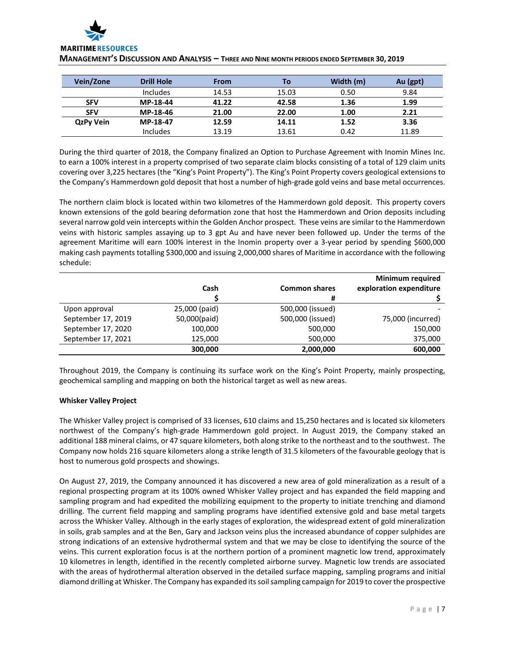| Vein/Zone        | <b>Drill Hole</b> | From  | To    | Width (m) | Au (gpt) |
|------------------|-------------------|-------|-------|-----------|----------|
|                  | <b>Includes</b>   | 14.53 | 15.03 | 0.50      | 9.84     |
| <b>SFV</b>       | MP-18-44          | 41.22 | 42.58 | 1.36      | 1.99     |
| <b>SFV</b>       | MP-18-46          | 21.00 | 22.00 | 1.00      | 2.21     |
| <b>QzPy Vein</b> | MP-18-47          | 12.59 | 14.11 | 1.52      | 3.36     |
|                  | <b>Includes</b>   | 13.19 | 13.61 | 0.42      | 11.89    |

**MANAGEMENT'S DISCUSSION AND ANALYSIS – THREE AND NINE MONTH PERIODS ENDED SEPTEMBER 30, 2019**

During the third quarter of 2018, the Company finalized an Option to Purchase Agreement with Inomin Mines Inc. to earn a 100% interest in a property comprised of two separate claim blocks consisting of a total of 129 claim units covering over 3,225 hectares (the "King's Point Property"). The King's Point Property covers geological extensions to the Company's Hammerdown gold deposit that host a number of high-grade gold veins and base metal occurrences.

The northern claim block is located within two kilometres of the Hammerdown gold deposit. This property covers known extensions of the gold bearing deformation zone that host the Hammerdown and Orion deposits including several narrow gold vein intercepts within the Golden Anchor prospect. These veins are similar to the Hammerdown veins with historic samples assaying up to 3 gpt Au and have never been followed up. Under the terms of the agreement Maritime will earn 100% interest in the Inomin property over a 3-year period by spending \$600,000 making cash payments totalling \$300,000 and issuing 2,000,000 shares of Maritime in accordance with the following schedule:

|                    |               |                      | <b>Minimum required</b> |
|--------------------|---------------|----------------------|-------------------------|
|                    | Cash          | <b>Common shares</b> | exploration expenditure |
|                    |               | #                    |                         |
| Upon approval      | 25,000 (paid) | 500,000 (issued)     |                         |
| September 17, 2019 | 50,000(paid)  | 500,000 (issued)     | 75,000 (incurred)       |
| September 17, 2020 | 100,000       | 500,000              | 150,000                 |
| September 17, 2021 | 125,000       | 500,000              | 375,000                 |
|                    | 300,000       | 2,000,000            | 600,000                 |

Throughout 2019, the Company is continuing its surface work on the King's Point Property, mainly prospecting, geochemical sampling and mapping on both the historical target as well as new areas.

# **Whisker Valley Project**

The Whisker Valley project is comprised of 33 licenses, 610 claims and 15,250 hectares and is located six kilometers northwest of the Company's high-grade Hammerdown gold project. In August 2019, the Company staked an additional 188 mineral claims, or 47 square kilometers, both along strike to the northeast and to the southwest. The Company now holds 216 square kilometers along a strike length of 31.5 kilometers of the favourable geology that is host to numerous gold prospects and showings.

On August 27, 2019, the Company announced it has discovered a new area of gold mineralization as a result of a regional prospecting program at its 100% owned Whisker Valley project and has expanded the field mapping and sampling program and had expedited the mobilizing equipment to the property to initiate trenching and diamond drilling. The current field mapping and sampling programs have identified extensive gold and base metal targets across the Whisker Valley. Although in the early stages of exploration, the widespread extent of gold mineralization in soils, grab samples and at the Ben, Gary and Jackson veins plus the increased abundance of copper sulphides are strong indications of an extensive hydrothermal system and that we may be close to identifying the source of the veins. This current exploration focus is at the northern portion of a prominent magnetic low trend, approximately 10 kilometres in length, identified in the recently completed airborne survey. Magnetic low trends are associated with the areas of hydrothermal alteration observed in the detailed surface mapping, sampling programs and initial diamond drilling at Whisker. The Company has expanded its soil sampling campaign for 2019 to cover the prospective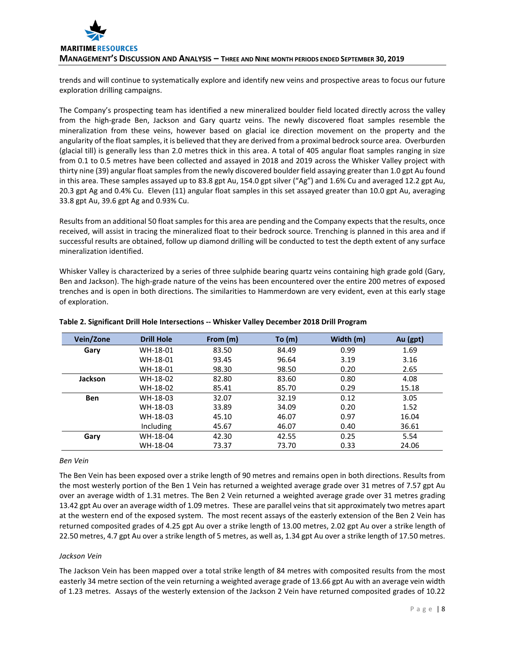trends and will continue to systematically explore and identify new veins and prospective areas to focus our future exploration drilling campaigns.

The Company's prospecting team has identified a new mineralized boulder field located directly across the valley from the high-grade Ben, Jackson and Gary quartz veins. The newly discovered float samples resemble the mineralization from these veins, however based on glacial ice direction movement on the property and the angularity of the float samples, it is believed that they are derived from a proximal bedrock source area. Overburden (glacial till) is generally less than 2.0 metres thick in this area. A total of 405 angular float samples ranging in size from 0.1 to 0.5 metres have been collected and assayed in 2018 and 2019 across the Whisker Valley project with thirty nine (39) angular float samples from the newly discovered boulder field assaying greater than 1.0 gpt Au found in this area. These samples assayed up to 83.8 gpt Au, 154.0 gpt silver ("Ag") and 1.6% Cu and averaged 12.2 gpt Au, 20.3 gpt Ag and 0.4% Cu. Eleven (11) angular float samples in this set assayed greater than 10.0 gpt Au, averaging 33.8 gpt Au, 39.6 gpt Ag and 0.93% Cu.

Results from an additional 50 float samples for this area are pending and the Company expects that the results, once received, will assist in tracing the mineralized float to their bedrock source. Trenching is planned in this area and if successful results are obtained, follow up diamond drilling will be conducted to test the depth extent of any surface mineralization identified.

Whisker Valley is characterized by a series of three sulphide bearing quartz veins containing high grade gold (Gary, Ben and Jackson). The high-grade nature of the veins has been encountered over the entire 200 metres of exposed trenches and is open in both directions. The similarities to Hammerdown are very evident, even at this early stage of exploration.

| Vein/Zone  | <b>Drill Hole</b> | From (m) | To (m) | Width (m) | Au (gpt) |
|------------|-------------------|----------|--------|-----------|----------|
| Gary       | WH-18-01          | 83.50    | 84.49  | 0.99      | 1.69     |
|            | WH-18-01          | 93.45    | 96.64  | 3.19      | 3.16     |
|            | WH-18-01          | 98.30    | 98.50  | 0.20      | 2.65     |
| Jackson    | WH-18-02          | 82.80    | 83.60  | 0.80      | 4.08     |
|            | WH-18-02          | 85.41    | 85.70  | 0.29      | 15.18    |
| <b>Ben</b> | WH-18-03          | 32.07    | 32.19  | 0.12      | 3.05     |
|            | WH-18-03          | 33.89    | 34.09  | 0.20      | 1.52     |
|            | WH-18-03          | 45.10    | 46.07  | 0.97      | 16.04    |
|            | Including         | 45.67    | 46.07  | 0.40      | 36.61    |
| Gary       | WH-18-04          | 42.30    | 42.55  | 0.25      | 5.54     |
|            | WH-18-04          | 73.37    | 73.70  | 0.33      | 24.06    |

# **Table 2. Significant Drill Hole Intersections -- Whisker Valley December 2018 Drill Program**

#### *Ben Vein*

The Ben Vein has been exposed over a strike length of 90 metres and remains open in both directions. Results from the most westerly portion of the Ben 1 Vein has returned a weighted average grade over 31 metres of 7.57 gpt Au over an average width of 1.31 metres. The Ben 2 Vein returned a weighted average grade over 31 metres grading 13.42 gpt Au over an average width of 1.09 metres. These are parallel veins that sit approximately two metres apart at the western end of the exposed system. The most recent assays of the easterly extension of the Ben 2 Vein has returned composited grades of 4.25 gpt Au over a strike length of 13.00 metres, 2.02 gpt Au over a strike length of 22.50 metres, 4.7 gpt Au over a strike length of 5 metres, as well as, 1.34 gpt Au over a strike length of 17.50 metres.

#### *Jackson Vein*

The Jackson Vein has been mapped over a total strike length of 84 metres with composited results from the most easterly 34 metre section of the vein returning a weighted average grade of 13.66 gpt Au with an average vein width of 1.23 metres. Assays of the westerly extension of the Jackson 2 Vein have returned composited grades of 10.22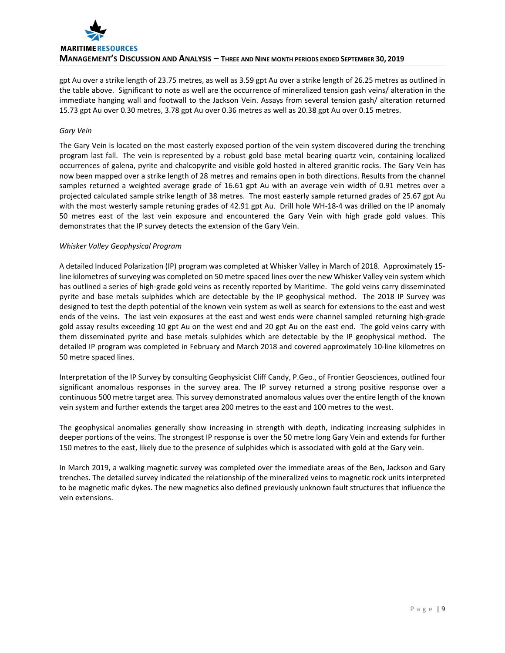

gpt Au over a strike length of 23.75 metres, as well as 3.59 gpt Au over a strike length of 26.25 metres as outlined in the table above. Significant to note as well are the occurrence of mineralized tension gash veins/ alteration in the immediate hanging wall and footwall to the Jackson Vein. Assays from several tension gash/ alteration returned 15.73 gpt Au over 0.30 metres, 3.78 gpt Au over 0.36 metres as well as 20.38 gpt Au over 0.15 metres.

#### *Gary Vein*

The Gary Vein is located on the most easterly exposed portion of the vein system discovered during the trenching program last fall. The vein is represented by a robust gold base metal bearing quartz vein, containing localized occurrences of galena, pyrite and chalcopyrite and visible gold hosted in altered granitic rocks. The Gary Vein has now been mapped over a strike length of 28 metres and remains open in both directions. Results from the channel samples returned a weighted average grade of 16.61 gpt Au with an average vein width of 0.91 metres over a projected calculated sample strike length of 38 metres. The most easterly sample returned grades of 25.67 gpt Au with the most westerly sample retuning grades of 42.91 gpt Au. Drill hole WH-18-4 was drilled on the IP anomaly 50 metres east of the last vein exposure and encountered the Gary Vein with high grade gold values. This demonstrates that the IP survey detects the extension of the Gary Vein.

#### *Whisker Valley Geophysical Program*

A detailed Induced Polarization (IP) program was completed at Whisker Valley in March of 2018. Approximately 15 line kilometres of surveying was completed on 50 metre spaced lines over the new Whisker Valley vein system which has outlined a series of high-grade gold veins as recently reported by Maritime. The gold veins carry disseminated pyrite and base metals sulphides which are detectable by the IP geophysical method. The 2018 IP Survey was designed to test the depth potential of the known vein system as well as search for extensions to the east and west ends of the veins. The last vein exposures at the east and west ends were channel sampled returning high-grade gold assay results exceeding 10 gpt Au on the west end and 20 gpt Au on the east end. The gold veins carry with them disseminated pyrite and base metals sulphides which are detectable by the IP geophysical method. The detailed IP program was completed in February and March 2018 and covered approximately 10-line kilometres on 50 metre spaced lines.

Interpretation of the IP Survey by consulting Geophysicist Cliff Candy, P.Geo., of Frontier Geosciences, outlined four significant anomalous responses in the survey area. The IP survey returned a strong positive response over a continuous 500 metre target area. This survey demonstrated anomalous values over the entire length of the known vein system and further extends the target area 200 metres to the east and 100 metres to the west.

The geophysical anomalies generally show increasing in strength with depth, indicating increasing sulphides in deeper portions of the veins. The strongest IP response is over the 50 metre long Gary Vein and extends for further 150 metres to the east, likely due to the presence of sulphides which is associated with gold at the Gary vein.

In March 2019, a walking magnetic survey was completed over the immediate areas of the Ben, Jackson and Gary trenches. The detailed survey indicated the relationship of the mineralized veins to magnetic rock units interpreted to be magnetic mafic dykes. The new magnetics also defined previously unknown fault structures that influence the vein extensions.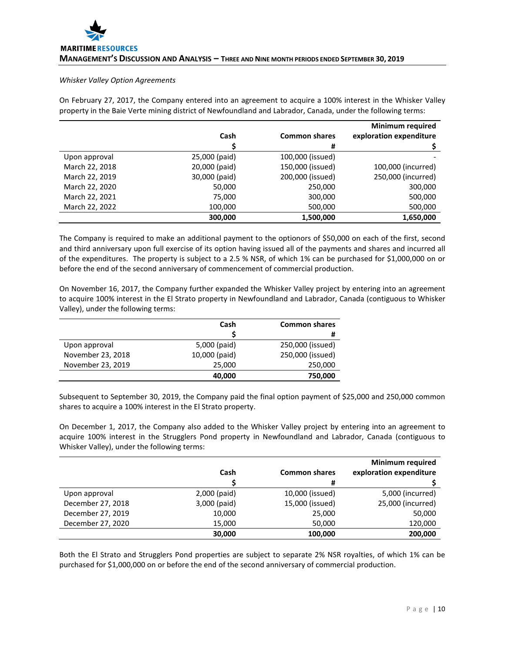#### *Whisker Valley Option Agreements*

On February 27, 2017, the Company entered into an agreement to acquire a 100% interest in the Whisker Valley property in the Baie Verte mining district of Newfoundland and Labrador, Canada, under the following terms:

|                |               |                      | <b>Minimum required</b> |
|----------------|---------------|----------------------|-------------------------|
|                | Cash          | <b>Common shares</b> | exploration expenditure |
|                |               | #                    |                         |
| Upon approval  | 25,000 (paid) | 100,000 (issued)     |                         |
| March 22, 2018 | 20,000 (paid) | 150,000 (issued)     | 100,000 (incurred)      |
| March 22, 2019 | 30,000 (paid) | 200,000 (issued)     | 250,000 (incurred)      |
| March 22, 2020 | 50,000        | 250,000              | 300,000                 |
| March 22, 2021 | 75,000        | 300,000              | 500,000                 |
| March 22, 2022 | 100,000       | 500,000              | 500,000                 |
|                | 300.000       | 1,500,000            | 1,650,000               |

The Company is required to make an additional payment to the optionors of \$50,000 on each of the first, second and third anniversary upon full exercise of its option having issued all of the payments and shares and incurred all of the expenditures. The property is subject to a 2.5 % NSR, of which 1% can be purchased for \$1,000,000 on or before the end of the second anniversary of commencement of commercial production.

On November 16, 2017, the Company further expanded the Whisker Valley project by entering into an agreement to acquire 100% interest in the El Strato property in Newfoundland and Labrador, Canada (contiguous to Whisker Valley), under the following terms:

|                   | Cash          | <b>Common shares</b> |
|-------------------|---------------|----------------------|
|                   |               | #                    |
| Upon approval     | 5,000 (paid)  | 250,000 (issued)     |
| November 23, 2018 | 10,000 (paid) | 250,000 (issued)     |
| November 23, 2019 | 25,000        | 250,000              |
|                   | 40,000        | 750,000              |

Subsequent to September 30, 2019, the Company paid the final option payment of \$25,000 and 250,000 common shares to acquire a 100% interest in the El Strato property.

On December 1, 2017, the Company also added to the Whisker Valley project by entering into an agreement to acquire 100% interest in the Strugglers Pond property in Newfoundland and Labrador, Canada (contiguous to Whisker Valley), under the following terms:

|                   |              |                      | <b>Minimum required</b> |
|-------------------|--------------|----------------------|-------------------------|
|                   | Cash         | <b>Common shares</b> | exploration expenditure |
|                   |              | #                    |                         |
| Upon approval     | 2,000 (paid) | 10,000 (issued)      | 5,000 (incurred)        |
| December 27, 2018 | 3,000 (paid) | 15,000 (issued)      | 25,000 (incurred)       |
| December 27, 2019 | 10,000       | 25,000               | 50,000                  |
| December 27, 2020 | 15.000       | 50,000               | 120,000                 |
|                   | 30,000       | 100,000              | 200,000                 |

Both the El Strato and Strugglers Pond properties are subject to separate 2% NSR royalties, of which 1% can be purchased for \$1,000,000 on or before the end of the second anniversary of commercial production.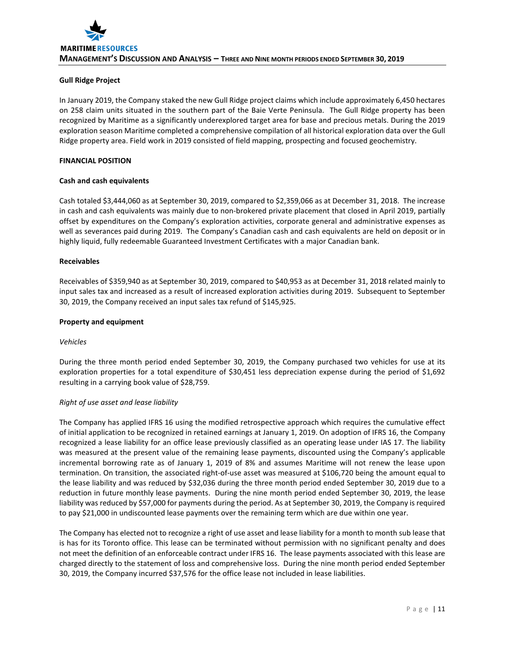# **Gull Ridge Project**

In January 2019, the Company staked the new Gull Ridge project claims which include approximately 6,450 hectares on 258 claim units situated in the southern part of the Baie Verte Peninsula. The Gull Ridge property has been recognized by Maritime as a significantly underexplored target area for base and precious metals. During the 2019 exploration season Maritime completed a comprehensive compilation of all historical exploration data over the Gull Ridge property area. Field work in 2019 consisted of field mapping, prospecting and focused geochemistry.

#### **FINANCIAL POSITION**

#### **Cash and cash equivalents**

Cash totaled \$3,444,060 as at September 30, 2019, compared to \$2,359,066 as at December 31, 2018. The increase in cash and cash equivalents was mainly due to non-brokered private placement that closed in April 2019, partially offset by expenditures on the Company's exploration activities, corporate general and administrative expenses as well as severances paid during 2019. The Company's Canadian cash and cash equivalents are held on deposit or in highly liquid, fully redeemable Guaranteed Investment Certificates with a major Canadian bank.

#### **Receivables**

Receivables of \$359,940 as at September 30, 2019, compared to \$40,953 as at December 31, 2018 related mainly to input sales tax and increased as a result of increased exploration activities during 2019. Subsequent to September 30, 2019, the Company received an input sales tax refund of \$145,925.

#### **Property and equipment**

#### *Vehicles*

During the three month period ended September 30, 2019, the Company purchased two vehicles for use at its exploration properties for a total expenditure of \$30,451 less depreciation expense during the period of \$1,692 resulting in a carrying book value of \$28,759.

#### *Right of use asset and lease liability*

The Company has applied IFRS 16 using the modified retrospective approach which requires the cumulative effect of initial application to be recognized in retained earnings at January 1, 2019. On adoption of IFRS 16, the Company recognized a lease liability for an office lease previously classified as an operating lease under IAS 17. The liability was measured at the present value of the remaining lease payments, discounted using the Company's applicable incremental borrowing rate as of January 1, 2019 of 8% and assumes Maritime will not renew the lease upon termination. On transition, the associated right-of-use asset was measured at \$106,720 being the amount equal to the lease liability and was reduced by \$32,036 during the three month period ended September 30, 2019 due to a reduction in future monthly lease payments. During the nine month period ended September 30, 2019, the lease liability was reduced by \$57,000 for payments during the period. As at September 30, 2019, the Company is required to pay \$21,000 in undiscounted lease payments over the remaining term which are due within one year.

The Company has elected not to recognize a right of use asset and lease liability for a month to month sub lease that is has for its Toronto office. This lease can be terminated without permission with no significant penalty and does not meet the definition of an enforceable contract under IFRS 16. The lease payments associated with this lease are charged directly to the statement of loss and comprehensive loss. During the nine month period ended September 30, 2019, the Company incurred \$37,576 for the office lease not included in lease liabilities.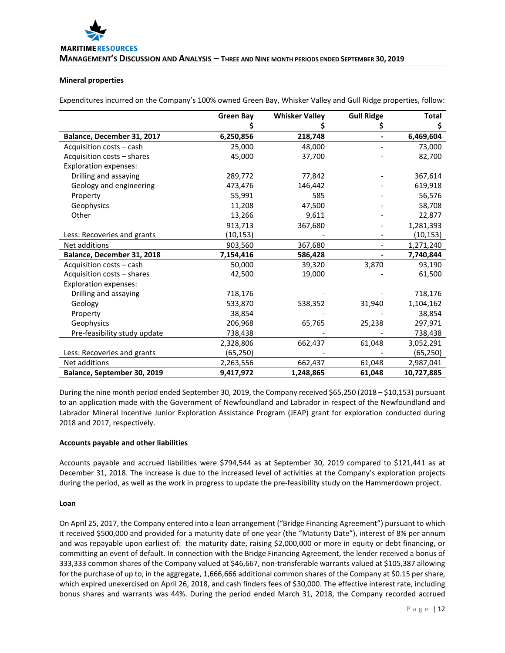#### **Mineral properties**

Expenditures incurred on the Company's 100% owned Green Bay, Whisker Valley and Gull Ridge properties, follow:

|                              | <b>Green Bay</b> | <b>Whisker Valley</b> | <b>Gull Ridge</b> | <b>Total</b> |
|------------------------------|------------------|-----------------------|-------------------|--------------|
|                              |                  |                       | Ş                 | Ş            |
| Balance, December 31, 2017   | 6,250,856        | 218,748               |                   | 6,469,604    |
| Acquisition costs – cash     | 25,000           | 48,000                |                   | 73,000       |
| Acquisition costs - shares   | 45,000           | 37,700                |                   | 82,700       |
| <b>Exploration expenses:</b> |                  |                       |                   |              |
| Drilling and assaying        | 289,772          | 77,842                |                   | 367,614      |
| Geology and engineering      | 473,476          | 146,442               |                   | 619,918      |
| Property                     | 55,991           | 585                   |                   | 56,576       |
| Geophysics                   | 11,208           | 47,500                |                   | 58,708       |
| Other                        | 13,266           | 9,611                 |                   | 22,877       |
|                              | 913,713          | 367,680               |                   | 1,281,393    |
| Less: Recoveries and grants  | (10, 153)        |                       |                   | (10, 153)    |
| Net additions                | 903,560          | 367,680               |                   | 1,271,240    |
| Balance, December 31, 2018   | 7,154,416        | 586,428               |                   | 7,740,844    |
| Acquisition costs - cash     | 50,000           | 39,320                | 3,870             | 93,190       |
| Acquisition costs - shares   | 42,500           | 19,000                |                   | 61,500       |
| <b>Exploration expenses:</b> |                  |                       |                   |              |
| Drilling and assaying        | 718,176          |                       |                   | 718,176      |
| Geology                      | 533,870          | 538,352               | 31,940            | 1,104,162    |
| Property                     | 38,854           |                       |                   | 38,854       |
| Geophysics                   | 206,968          | 65,765                | 25,238            | 297,971      |
| Pre-feasibility study update | 738,438          |                       |                   | 738,438      |
|                              | 2,328,806        | 662,437               | 61,048            | 3,052,291    |
| Less: Recoveries and grants  | (65,250)         |                       |                   | (65, 250)    |
| Net additions                | 2,263,556        | 662,437               | 61,048            | 2,987,041    |
| Balance, September 30, 2019  | 9,417,972        | 1,248,865             | 61,048            | 10,727,885   |

During the nine month period ended September 30, 2019, the Company received \$65,250 (2018 – \$10,153) pursuant to an application made with the Government of Newfoundland and Labrador in respect of the Newfoundland and Labrador Mineral Incentive Junior Exploration Assistance Program (JEAP) grant for exploration conducted during 2018 and 2017, respectively.

#### **Accounts payable and other liabilities**

Accounts payable and accrued liabilities were \$794,544 as at September 30, 2019 compared to \$121,441 as at December 31, 2018. The increase is due to the increased level of activities at the Company's exploration projects during the period, as well as the work in progress to update the pre-feasibility study on the Hammerdown project.

#### **Loan**

On April 25, 2017, the Company entered into a loan arrangement ("Bridge Financing Agreement") pursuant to which it received \$500,000 and provided for a maturity date of one year (the "Maturity Date"), interest of 8% per annum and was repayable upon earliest of: the maturity date, raising \$2,000,000 or more in equity or debt financing, or committing an event of default. In connection with the Bridge Financing Agreement, the lender received a bonus of 333,333 common shares of the Company valued at \$46,667, non-transferable warrants valued at \$105,387 allowing for the purchase of up to, in the aggregate, 1,666,666 additional common shares of the Company at \$0.15 per share, which expired unexercised on April 26, 2018, and cash finders fees of \$30,000. The effective interest rate, including bonus shares and warrants was 44%. During the period ended March 31, 2018, the Company recorded accrued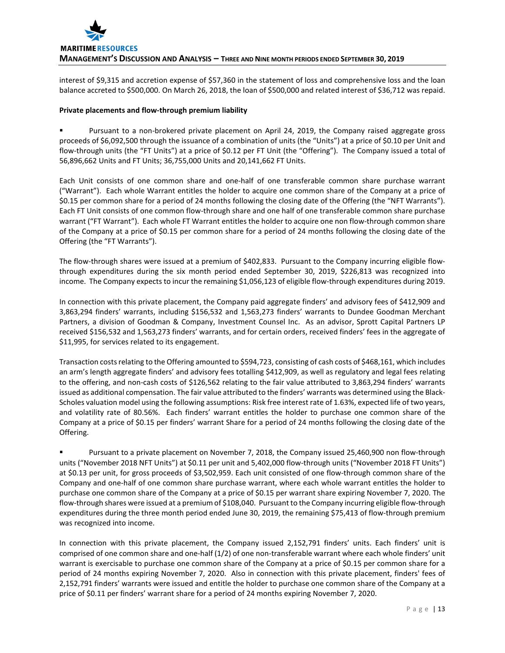

interest of \$9,315 and accretion expense of \$57,360 in the statement of loss and comprehensive loss and the loan balance accreted to \$500,000. On March 26, 2018, the loan of \$500,000 and related interest of \$36,712 was repaid.

#### **Private placements and flow-through premium liability**

 Pursuant to a non-brokered private placement on April 24, 2019, the Company raised aggregate gross proceeds of \$6,092,500 through the issuance of a combination of units (the "Units") at a price of \$0.10 per Unit and flow-through units (the "FT Units") at a price of \$0.12 per FT Unit (the "Offering"). The Company issued a total of 56,896,662 Units and FT Units; 36,755,000 Units and 20,141,662 FT Units.

Each Unit consists of one common share and one-half of one transferable common share purchase warrant ("Warrant"). Each whole Warrant entitles the holder to acquire one common share of the Company at a price of \$0.15 per common share for a period of 24 months following the closing date of the Offering (the "NFT Warrants"). Each FT Unit consists of one common flow-through share and one half of one transferable common share purchase warrant ("FT Warrant"). Each whole FT Warrant entitles the holder to acquire one non flow-through common share of the Company at a price of \$0.15 per common share for a period of 24 months following the closing date of the Offering (the "FT Warrants").

The flow-through shares were issued at a premium of \$402,833. Pursuant to the Company incurring eligible flowthrough expenditures during the six month period ended September 30, 2019, \$226,813 was recognized into income. The Company expects to incur the remaining \$1,056,123 of eligible flow-through expenditures during 2019.

In connection with this private placement, the Company paid aggregate finders' and advisory fees of \$412,909 and 3,863,294 finders' warrants, including \$156,532 and 1,563,273 finders' warrants to Dundee Goodman Merchant Partners, a division of Goodman & Company, Investment Counsel Inc. As an advisor, Sprott Capital Partners LP received \$156,532 and 1,563,273 finders' warrants, and for certain orders, received finders' fees in the aggregate of \$11,995, for services related to its engagement.

Transaction costs relating to the Offering amounted to \$594,723, consisting of cash costs of \$468,161, which includes an arm's length aggregate finders' and advisory fees totalling \$412,909, as well as regulatory and legal fees relating to the offering, and non-cash costs of \$126,562 relating to the fair value attributed to 3,863,294 finders' warrants issued as additional compensation. The fair value attributed to the finders' warrants was determined using the Black-Scholes valuation model using the following assumptions: Risk free interest rate of 1.63%, expected life of two years, and volatility rate of 80.56%. Each finders' warrant entitles the holder to purchase one common share of the Company at a price of \$0.15 per finders' warrant Share for a period of 24 months following the closing date of the Offering.

 Pursuant to a private placement on November 7, 2018, the Company issued 25,460,900 non flow-through units ("November 2018 NFT Units") at \$0.11 per unit and 5,402,000 flow-through units ("November 2018 FT Units") at \$0.13 per unit, for gross proceeds of \$3,502,959. Each unit consisted of one flow-through common share of the Company and one-half of one common share purchase warrant, where each whole warrant entitles the holder to purchase one common share of the Company at a price of \$0.15 per warrant share expiring November 7, 2020. The flow-through shares were issued at a premium of \$108,040. Pursuant to the Company incurring eligible flow-through expenditures during the three month period ended June 30, 2019, the remaining \$75,413 of flow-through premium was recognized into income.

In connection with this private placement, the Company issued 2,152,791 finders' units. Each finders' unit is comprised of one common share and one-half (1/2) of one non-transferable warrant where each whole finders' unit warrant is exercisable to purchase one common share of the Company at a price of \$0.15 per common share for a period of 24 months expiring November 7, 2020. Also in connection with this private placement, finders' fees of 2,152,791 finders' warrants were issued and entitle the holder to purchase one common share of the Company at a price of \$0.11 per finders' warrant share for a period of 24 months expiring November 7, 2020.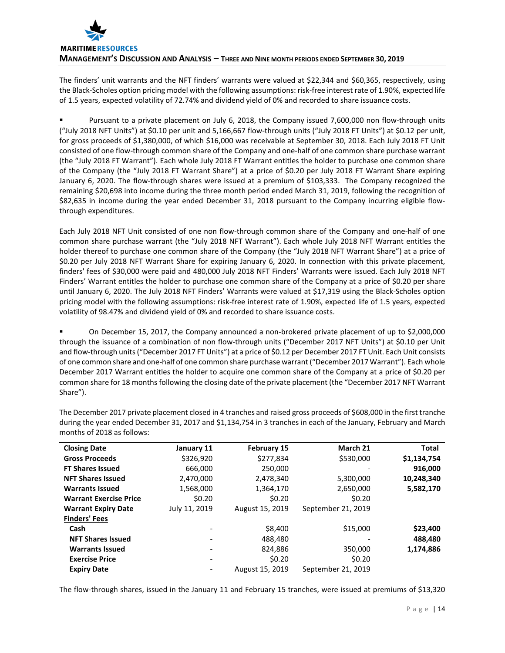# **MARITIME RESOURCES MANAGEMENT'S DISCUSSION AND ANALYSIS – THREE AND NINE MONTH PERIODS ENDED SEPTEMBER 30, 2019**

The finders' unit warrants and the NFT finders' warrants were valued at \$22,344 and \$60,365, respectively, using the Black-Scholes option pricing model with the following assumptions: risk-free interest rate of 1.90%, expected life of 1.5 years, expected volatility of 72.74% and dividend yield of 0% and recorded to share issuance costs.

 Pursuant to a private placement on July 6, 2018, the Company issued 7,600,000 non flow-through units ("July 2018 NFT Units") at \$0.10 per unit and 5,166,667 flow-through units ("July 2018 FT Units") at \$0.12 per unit, for gross proceeds of \$1,380,000, of which \$16,000 was receivable at September 30, 2018. Each July 2018 FT Unit consisted of one flow-through common share of the Company and one-half of one common share purchase warrant (the "July 2018 FT Warrant"). Each whole July 2018 FT Warrant entitles the holder to purchase one common share of the Company (the "July 2018 FT Warrant Share") at a price of \$0.20 per July 2018 FT Warrant Share expiring January 6, 2020. The flow-through shares were issued at a premium of \$103,333. The Company recognized the remaining \$20,698 into income during the three month period ended March 31, 2019, following the recognition of \$82,635 in income during the year ended December 31, 2018 pursuant to the Company incurring eligible flowthrough expenditures.

Each July 2018 NFT Unit consisted of one non flow-through common share of the Company and one-half of one common share purchase warrant (the "July 2018 NFT Warrant"). Each whole July 2018 NFT Warrant entitles the holder thereof to purchase one common share of the Company (the "July 2018 NFT Warrant Share") at a price of \$0.20 per July 2018 NFT Warrant Share for expiring January 6, 2020. In connection with this private placement, finders' fees of \$30,000 were paid and 480,000 July 2018 NFT Finders' Warrants were issued. Each July 2018 NFT Finders' Warrant entitles the holder to purchase one common share of the Company at a price of \$0.20 per share until January 6, 2020. The July 2018 NFT Finders' Warrants were valued at \$17,319 using the Black-Scholes option pricing model with the following assumptions: risk-free interest rate of 1.90%, expected life of 1.5 years, expected volatility of 98.47% and dividend yield of 0% and recorded to share issuance costs.

 On December 15, 2017, the Company announced a non-brokered private placement of up to \$2,000,000 through the issuance of a combination of non flow-through units ("December 2017 NFT Units") at \$0.10 per Unit and flow-through units ("December 2017 FT Units") at a price of \$0.12 per December 2017 FT Unit. Each Unit consists of one common share and one-half of one common share purchase warrant ("December 2017 Warrant"). Each whole December 2017 Warrant entitles the holder to acquire one common share of the Company at a price of \$0.20 per common share for 18 months following the closing date of the private placement (the "December 2017 NFT Warrant Share").

| <b>Closing Date</b>           | January 11    | <b>February 15</b> | March 21           | Total       |
|-------------------------------|---------------|--------------------|--------------------|-------------|
| <b>Gross Proceeds</b>         | \$326,920     | \$277,834          | \$530,000          | \$1,134,754 |
| <b>FT Shares Issued</b>       | 666,000       | 250,000            |                    | 916,000     |
| <b>NFT Shares Issued</b>      | 2,470,000     | 2,478,340          | 5,300,000          | 10,248,340  |
| <b>Warrants Issued</b>        | 1,568,000     | 1,364,170          | 2,650,000          | 5,582,170   |
| <b>Warrant Exercise Price</b> | \$0.20        | \$0.20             | \$0.20             |             |
| <b>Warrant Expiry Date</b>    | July 11, 2019 | August 15, 2019    | September 21, 2019 |             |
| <b>Finders' Fees</b>          |               |                    |                    |             |
| Cash                          |               | \$8,400            | \$15,000           | \$23,400    |
| <b>NFT Shares Issued</b>      |               | 488,480            |                    | 488,480     |
| <b>Warrants Issued</b>        |               | 824,886            | 350,000            | 1,174,886   |
| <b>Exercise Price</b>         |               | \$0.20             | \$0.20             |             |
| <b>Expiry Date</b>            |               | August 15, 2019    | September 21, 2019 |             |

The December 2017 private placement closed in 4 tranches and raised gross proceeds of \$608,000 in the first tranche during the year ended December 31, 2017 and \$1,134,754 in 3 tranches in each of the January, February and March months of 2018 as follows:

The flow-through shares, issued in the January 11 and February 15 tranches, were issued at premiums of \$13,320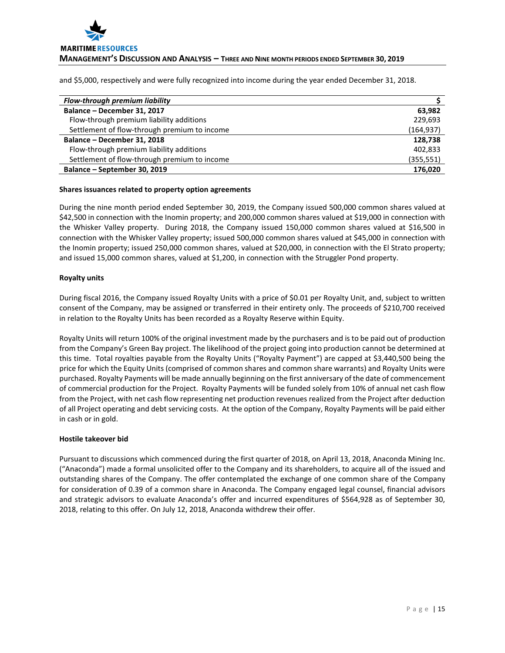

and \$5,000, respectively and were fully recognized into income during the year ended December 31, 2018.

| <b>Flow-through premium liability</b>        |            |
|----------------------------------------------|------------|
| Balance - December 31, 2017                  | 63,982     |
| Flow-through premium liability additions     | 229.693    |
| Settlement of flow-through premium to income | (164,937)  |
| Balance - December 31, 2018                  | 128,738    |
| Flow-through premium liability additions     | 402,833    |
| Settlement of flow-through premium to income | (355, 551) |
| Balance - September 30, 2019                 | 176.020    |

#### **Shares issuances related to property option agreements**

During the nine month period ended September 30, 2019, the Company issued 500,000 common shares valued at \$42,500 in connection with the Inomin property; and 200,000 common shares valued at \$19,000 in connection with the Whisker Valley property. During 2018, the Company issued 150,000 common shares valued at \$16,500 in connection with the Whisker Valley property; issued 500,000 common shares valued at \$45,000 in connection with the Inomin property; issued 250,000 common shares, valued at \$20,000, in connection with the El Strato property; and issued 15,000 common shares, valued at \$1,200, in connection with the Struggler Pond property.

#### **Royalty units**

During fiscal 2016, the Company issued Royalty Units with a price of \$0.01 per Royalty Unit, and, subject to written consent of the Company, may be assigned or transferred in their entirety only. The proceeds of \$210,700 received in relation to the Royalty Units has been recorded as a Royalty Reserve within Equity.

Royalty Units will return 100% of the original investment made by the purchasers and is to be paid out of production from the Company's Green Bay project. The likelihood of the project going into production cannot be determined at this time. Total royalties payable from the Royalty Units ("Royalty Payment") are capped at \$3,440,500 being the price for which the Equity Units (comprised of common shares and common share warrants) and Royalty Units were purchased. Royalty Payments will be made annually beginning on the first anniversary of the date of commencement of commercial production for the Project. Royalty Payments will be funded solely from 10% of annual net cash flow from the Project, with net cash flow representing net production revenues realized from the Project after deduction of all Project operating and debt servicing costs. At the option of the Company, Royalty Payments will be paid either in cash or in gold.

#### **Hostile takeover bid**

Pursuant to discussions which commenced during the first quarter of 2018, on April 13, 2018, Anaconda Mining Inc. ("Anaconda") made a formal unsolicited offer to the Company and its shareholders, to acquire all of the issued and outstanding shares of the Company. The offer contemplated the exchange of one common share of the Company for consideration of 0.39 of a common share in Anaconda. The Company engaged legal counsel, financial advisors and strategic advisors to evaluate Anaconda's offer and incurred expenditures of \$564,928 as of September 30, 2018, relating to this offer. On July 12, 2018, Anaconda withdrew their offer.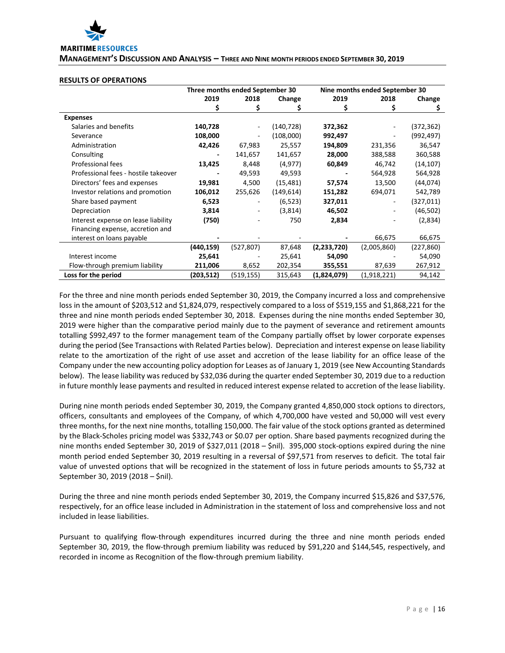

**MANAGEMENT'S DISCUSSION AND ANALYSIS – THREE AND NINE MONTH PERIODS ENDED SEPTEMBER 30, 2019**

#### **RESULTS OF OPERATIONS**

|                                      | Three months ended September 30 |                          |            |             | Nine months ended September 30 |            |  |  |
|--------------------------------------|---------------------------------|--------------------------|------------|-------------|--------------------------------|------------|--|--|
|                                      | 2019                            | 2018                     | Change     | 2019        | 2018                           | Change     |  |  |
|                                      | \$                              | S                        | Ś          | \$          | S                              | \$         |  |  |
| <b>Expenses</b>                      |                                 |                          |            |             |                                |            |  |  |
| Salaries and benefits                | 140,728                         | $\overline{\phantom{a}}$ | (140, 728) | 372,362     |                                | (372, 362) |  |  |
| Severance                            | 108,000                         |                          | (108,000)  | 992,497     |                                | (992, 497) |  |  |
| Administration                       | 42,426                          | 67,983                   | 25,557     | 194,809     | 231,356                        | 36,547     |  |  |
| Consulting                           |                                 | 141,657                  | 141,657    | 28,000      | 388,588                        | 360,588    |  |  |
| Professional fees                    | 13,425                          | 8,448                    | (4, 977)   | 60,849      | 46,742                         | (14, 107)  |  |  |
| Professional fees - hostile takeover |                                 | 49,593                   | 49,593     |             | 564,928                        | 564,928    |  |  |
| Directors' fees and expenses         | 19,981                          | 4,500                    | (15, 481)  | 57,574      | 13,500                         | (44, 074)  |  |  |
| Investor relations and promotion     | 106,012                         | 255,626                  | (149, 614) | 151,282     | 694,071                        | 542,789    |  |  |
| Share based payment                  | 6,523                           |                          | (6, 523)   | 327,011     |                                | (327, 011) |  |  |
| Depreciation                         | 3,814                           |                          | (3,814)    | 46,502      |                                | (46, 502)  |  |  |
| Interest expense on lease liability  | (750)                           |                          | 750        | 2,834       |                                | (2,834)    |  |  |
| Financing expense, accretion and     |                                 |                          |            |             |                                |            |  |  |
| interest on loans payable            |                                 |                          |            |             | 66,675                         | 66,675     |  |  |
|                                      | (440,159)                       | (527, 807)               | 87,648     | (2,233,720) | (2,005,860)                    | (227,860)  |  |  |
| Interest income                      | 25,641                          |                          | 25,641     | 54,090      |                                | 54,090     |  |  |
| Flow-through premium liability       | 211,006                         | 8,652                    | 202,354    | 355,551     | 87,639                         | 267,912    |  |  |
| Loss for the period                  | (203,512)                       | (519, 155)               | 315,643    | (1,824,079) | (1,918,221)                    | 94,142     |  |  |

For the three and nine month periods ended September 30, 2019, the Company incurred a loss and comprehensive loss in the amount of \$203,512 and \$1,824,079, respectively compared to a loss of \$519,155 and \$1,868,221 for the three and nine month periods ended September 30, 2018. Expenses during the nine months ended September 30, 2019 were higher than the comparative period mainly due to the payment of severance and retirement amounts totalling \$992,497 to the former management team of the Company partially offset by lower corporate expenses during the period (See Transactions with Related Parties below). Depreciation and interest expense on lease liability relate to the amortization of the right of use asset and accretion of the lease liability for an office lease of the Company under the new accounting policy adoption for Leases as of January 1, 2019 (see New Accounting Standards below). The lease liability was reduced by \$32,036 during the quarter ended September 30, 2019 due to a reduction in future monthly lease payments and resulted in reduced interest expense related to accretion of the lease liability.

During nine month periods ended September 30, 2019, the Company granted 4,850,000 stock options to directors, officers, consultants and employees of the Company, of which 4,700,000 have vested and 50,000 will vest every three months, for the next nine months, totalling 150,000. The fair value of the stock options granted as determined by the Black-Scholes pricing model was \$332,743 or \$0.07 per option. Share based payments recognized during the nine months ended September 30, 2019 of \$327,011 (2018 – \$nil). 395,000 stock-options expired during the nine month period ended September 30, 2019 resulting in a reversal of \$97,571 from reserves to deficit. The total fair value of unvested options that will be recognized in the statement of loss in future periods amounts to \$5,732 at September 30, 2019 (2018 – \$nil).

During the three and nine month periods ended September 30, 2019, the Company incurred \$15,826 and \$37,576, respectively, for an office lease included in Administration in the statement of loss and comprehensive loss and not included in lease liabilities.

Pursuant to qualifying flow-through expenditures incurred during the three and nine month periods ended September 30, 2019, the flow-through premium liability was reduced by \$91,220 and \$144,545, respectively, and recorded in income as Recognition of the flow-through premium liability.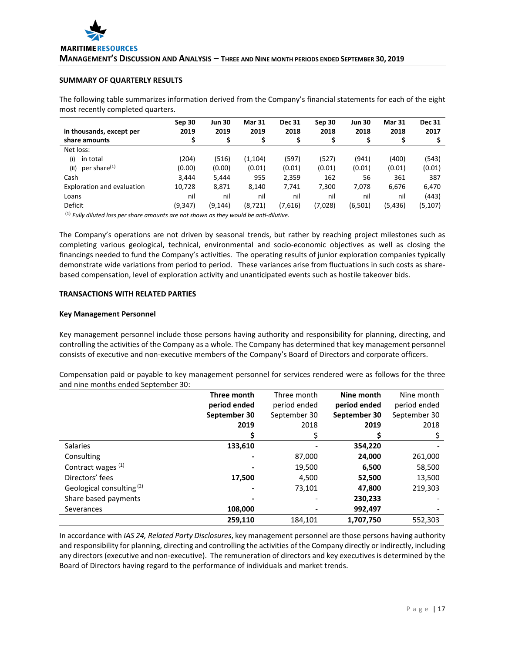# **SUMMARY OF QUARTERLY RESULTS**

The following table summarizes information derived from the Company's financial statements for each of the eight most recently completed quarters.

| in thousands, except per         | Sep 30<br>2019 | <b>Jun 30</b><br>2019 | <b>Mar 31</b><br>2019 | <b>Dec 31</b><br>2018 | Sep 30<br>2018 | <b>Jun 30</b><br>2018 | <b>Mar 31</b><br>2018 | <b>Dec 31</b><br>2017 |
|----------------------------------|----------------|-----------------------|-----------------------|-----------------------|----------------|-----------------------|-----------------------|-----------------------|
| share amounts                    |                | \$                    | \$                    | \$                    |                |                       | Ş                     |                       |
| Net loss:                        |                |                       |                       |                       |                |                       |                       |                       |
| (i)<br>in total                  | (204)          | (516)                 | (1, 104)              | (597)                 | (527)          | (941)                 | (400)                 | (543)                 |
| per share <sup>(1)</sup><br>(ii) | (0.00)         | (0.00)                | (0.01)                | (0.01)                | (0.01)         | (0.01)                | (0.01)                | (0.01)                |
| Cash                             | 3.444          | 5,444                 | 955                   | 2,359                 | 162            | 56                    | 361                   | 387                   |
| Exploration and evaluation       | 10,728         | 8,871                 | 8,140                 | 7,741                 | 7,300          | 7,078                 | 6,676                 | 6,470                 |
| Loans                            | nil            | nil                   | nil                   | nil                   | nil            | nil                   | nil                   | (443)                 |
| Deficit                          | (9, 347)       | (9, 144)              | (8, 721)              | (7,616)               | (7,028)        | (6, 501)              | (5, 436)              | (5, 107)              |

(1) *Fully diluted loss per share amounts are not shown as they would be anti-dilutive*.

The Company's operations are not driven by seasonal trends, but rather by reaching project milestones such as completing various geological, technical, environmental and socio-economic objectives as well as closing the financings needed to fund the Company's activities. The operating results of junior exploration companies typically demonstrate wide variations from period to period. These variances arise from fluctuations in such costs as sharebased compensation, level of exploration activity and unanticipated events such as hostile takeover bids.

#### **TRANSACTIONS WITH RELATED PARTIES**

#### **Key Management Personnel**

Key management personnel include those persons having authority and responsibility for planning, directing, and controlling the activities of the Company as a whole. The Company has determined that key management personnel consists of executive and non-executive members of the Company's Board of Directors and corporate officers.

Compensation paid or payable to key management personnel for services rendered were as follows for the three and nine months ended September 30:

|                                      | Three month  | Three month  | Nine month   | Nine month   |
|--------------------------------------|--------------|--------------|--------------|--------------|
|                                      | period ended | period ended | period ended | period ended |
|                                      | September 30 | September 30 | September 30 | September 30 |
|                                      | 2019         | 2018         | 2019         | 2018         |
|                                      |              |              |              |              |
| <b>Salaries</b>                      | 133,610      |              | 354,220      |              |
| Consulting                           |              | 87,000       | 24,000       | 261,000      |
| Contract wages <sup>(1)</sup>        |              | 19,500       | 6,500        | 58,500       |
| Directors' fees                      | 17,500       | 4,500        | 52,500       | 13,500       |
| Geological consulting <sup>(2)</sup> |              | 73,101       | 47,800       | 219,303      |
| Share based payments                 |              |              | 230,233      |              |
| Severances                           | 108,000      |              | 992,497      |              |
|                                      | 259.110      | 184.101      | 1,707,750    | 552.303      |

In accordance with *IAS 24, Related Party Disclosures*, key management personnel are those persons having authority and responsibility for planning, directing and controlling the activities of the Company directly or indirectly, including any directors (executive and non-executive). The remuneration of directors and key executives is determined by the Board of Directors having regard to the performance of individuals and market trends.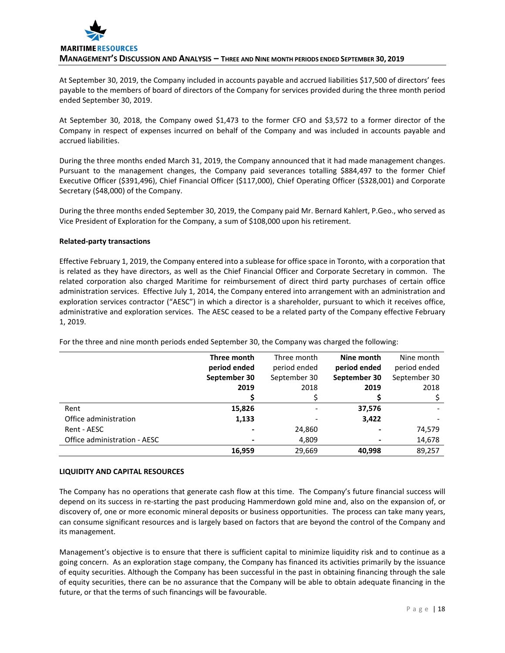

At September 30, 2019, the Company included in accounts payable and accrued liabilities \$17,500 of directors' fees payable to the members of board of directors of the Company for services provided during the three month period ended September 30, 2019.

At September 30, 2018, the Company owed \$1,473 to the former CFO and \$3,572 to a former director of the Company in respect of expenses incurred on behalf of the Company and was included in accounts payable and accrued liabilities.

During the three months ended March 31, 2019, the Company announced that it had made management changes. Pursuant to the management changes, the Company paid severances totalling \$884,497 to the former Chief Executive Officer (\$391,496), Chief Financial Officer (\$117,000), Chief Operating Officer (\$328,001) and Corporate Secretary (\$48,000) of the Company.

During the three months ended September 30, 2019, the Company paid Mr. Bernard Kahlert, P.Geo., who served as Vice President of Exploration for the Company, a sum of \$108,000 upon his retirement.

#### **Related-party transactions**

Effective February 1, 2019, the Company entered into a sublease for office space in Toronto, with a corporation that is related as they have directors, as well as the Chief Financial Officer and Corporate Secretary in common. The related corporation also charged Maritime for reimbursement of direct third party purchases of certain office administration services. Effective July 1, 2014, the Company entered into arrangement with an administration and exploration services contractor ("AESC") in which a director is a shareholder, pursuant to which it receives office, administrative and exploration services. The AESC ceased to be a related party of the Company effective February 1, 2019.

|                              | Three month  | Three month  | Nine month     | Nine month   |
|------------------------------|--------------|--------------|----------------|--------------|
|                              | period ended | period ended | period ended   | period ended |
|                              | September 30 | September 30 | September 30   | September 30 |
|                              | 2019         | 2018         | 2019           | 2018         |
|                              |              |              |                |              |
| Rent                         | 15,826       |              | 37,576         |              |
| Office administration        | 1,133        |              | 3,422          |              |
| Rent - AESC                  |              | 24,860       |                | 74,579       |
| Office administration - AESC |              | 4,809        | $\blacksquare$ | 14,678       |
|                              | 16,959       | 29,669       | 40,998         | 89,257       |

For the three and nine month periods ended September 30, the Company was charged the following:

#### **LIQUIDITY AND CAPITAL RESOURCES**

The Company has no operations that generate cash flow at this time. The Company's future financial success will depend on its success in re-starting the past producing Hammerdown gold mine and, also on the expansion of, or discovery of, one or more economic mineral deposits or business opportunities. The process can take many years, can consume significant resources and is largely based on factors that are beyond the control of the Company and its management.

Management's objective is to ensure that there is sufficient capital to minimize liquidity risk and to continue as a going concern. As an exploration stage company, the Company has financed its activities primarily by the issuance of equity securities. Although the Company has been successful in the past in obtaining financing through the sale of equity securities, there can be no assurance that the Company will be able to obtain adequate financing in the future, or that the terms of such financings will be favourable.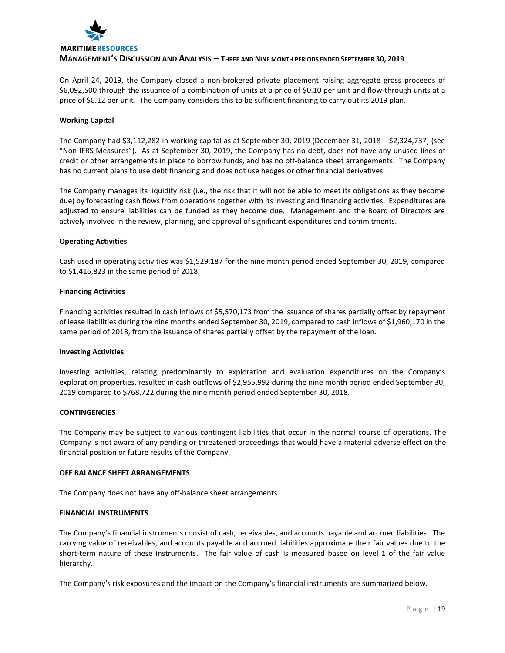

On April 24, 2019, the Company closed a non-brokered private placement raising aggregate gross proceeds of \$6,092,500 through the issuance of a combination of units at a price of \$0.10 per unit and flow-through units at a price of \$0.12 per unit. The Company considers this to be sufficient financing to carry out its 2019 plan.

#### **Working Capital**

The Company had \$3,112,282 in working capital as at September 30, 2019 (December 31, 2018 – \$2,324,737) (see "Non-IFRS Measures"). As at September 30, 2019, the Company has no debt, does not have any unused lines of credit or other arrangements in place to borrow funds, and has no off-balance sheet arrangements. The Company has no current plans to use debt financing and does not use hedges or other financial derivatives.

The Company manages its liquidity risk (i.e., the risk that it will not be able to meet its obligations as they become due) by forecasting cash flows from operations together with its investing and financing activities. Expenditures are adjusted to ensure liabilities can be funded as they become due. Management and the Board of Directors are actively involved in the review, planning, and approval of significant expenditures and commitments.

#### **Operating Activities**

Cash used in operating activities was \$1,529,187 for the nine month period ended September 30, 2019, compared to \$1,416,823 in the same period of 2018.

#### **Financing Activities**

Financing activities resulted in cash inflows of \$5,570,173 from the issuance of shares partially offset by repayment of lease liabilities during the nine months ended September 30, 2019, compared to cash inflows of \$1,960,170 in the same period of 2018, from the issuance of shares partially offset by the repayment of the loan.

#### **Investing Activities**

Investing activities, relating predominantly to exploration and evaluation expenditures on the Company's exploration properties, resulted in cash outflows of \$2,955,992 during the nine month period ended September 30, 2019 compared to \$768,722 during the nine month period ended September 30, 2018.

#### **CONTINGENCIES**

The Company may be subject to various contingent liabilities that occur in the normal course of operations. The Company is not aware of any pending or threatened proceedings that would have a material adverse effect on the financial position or future results of the Company.

#### **OFF BALANCE SHEET ARRANGEMENTS**

The Company does not have any off-balance sheet arrangements.

#### **FINANCIAL INSTRUMENTS**

The Company's financial instruments consist of cash, receivables, and accounts payable and accrued liabilities. The carrying value of receivables, and accounts payable and accrued liabilities approximate their fair values due to the short-term nature of these instruments. The fair value of cash is measured based on level 1 of the fair value hierarchy.

The Company's risk exposures and the impact on the Company's financial instruments are summarized below.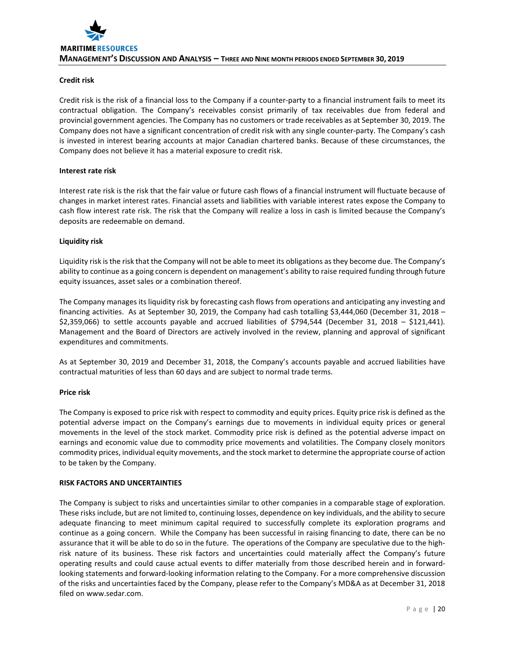#### **Credit risk**

Credit risk is the risk of a financial loss to the Company if a counter-party to a financial instrument fails to meet its contractual obligation. The Company's receivables consist primarily of tax receivables due from federal and provincial government agencies. The Company has no customers or trade receivables as at September 30, 2019. The Company does not have a significant concentration of credit risk with any single counter-party. The Company's cash is invested in interest bearing accounts at major Canadian chartered banks. Because of these circumstances, the Company does not believe it has a material exposure to credit risk.

#### **Interest rate risk**

Interest rate risk is the risk that the fair value or future cash flows of a financial instrument will fluctuate because of changes in market interest rates. Financial assets and liabilities with variable interest rates expose the Company to cash flow interest rate risk. The risk that the Company will realize a loss in cash is limited because the Company's deposits are redeemable on demand.

#### **Liquidity risk**

Liquidity risk is the risk that the Company will not be able to meet its obligations as they become due. The Company's ability to continue as a going concern is dependent on management's ability to raise required funding through future equity issuances, asset sales or a combination thereof.

The Company manages its liquidity risk by forecasting cash flows from operations and anticipating any investing and financing activities. As at September 30, 2019, the Company had cash totalling \$3,444,060 (December 31, 2018 – \$2,359,066) to settle accounts payable and accrued liabilities of \$794,544 (December 31, 2018 – \$121,441). Management and the Board of Directors are actively involved in the review, planning and approval of significant expenditures and commitments.

As at September 30, 2019 and December 31, 2018, the Company's accounts payable and accrued liabilities have contractual maturities of less than 60 days and are subject to normal trade terms.

#### **Price risk**

The Company is exposed to price risk with respect to commodity and equity prices. Equity price risk is defined as the potential adverse impact on the Company's earnings due to movements in individual equity prices or general movements in the level of the stock market. Commodity price risk is defined as the potential adverse impact on earnings and economic value due to commodity price movements and volatilities. The Company closely monitors commodity prices, individual equity movements, and the stock market to determine the appropriate course of action to be taken by the Company.

#### **RISK FACTORS AND UNCERTAINTIES**

The Company is subject to risks and uncertainties similar to other companies in a comparable stage of exploration. These risks include, but are not limited to, continuing losses, dependence on key individuals, and the ability to secure adequate financing to meet minimum capital required to successfully complete its exploration programs and continue as a going concern. While the Company has been successful in raising financing to date, there can be no assurance that it will be able to do so in the future. The operations of the Company are speculative due to the highrisk nature of its business. These risk factors and uncertainties could materially affect the Company's future operating results and could cause actual events to differ materially from those described herein and in forwardlooking statements and forward-looking information relating to the Company. For a more comprehensive discussion of the risks and uncertainties faced by the Company, please refer to the Company's MD&A as at December 31, 2018 filed on www.sedar.com.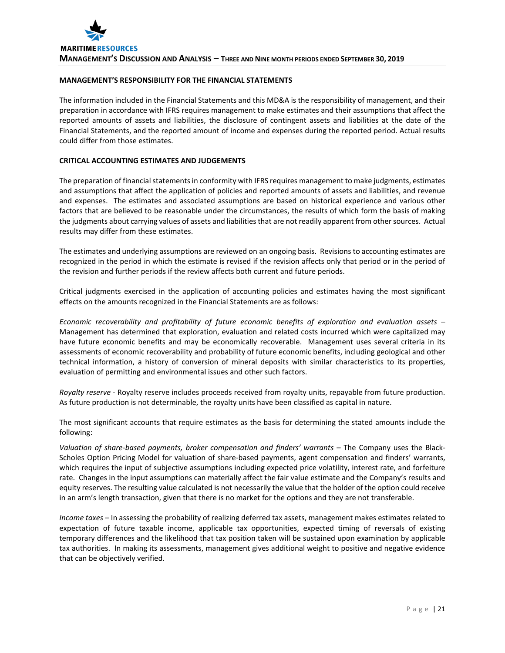# **MANAGEMENT'S RESPONSIBILITY FOR THE FINANCIAL STATEMENTS**

The information included in the Financial Statements and this MD&A is the responsibility of management, and their preparation in accordance with IFRS requires management to make estimates and their assumptions that affect the reported amounts of assets and liabilities, the disclosure of contingent assets and liabilities at the date of the Financial Statements, and the reported amount of income and expenses during the reported period. Actual results could differ from those estimates.

# **CRITICAL ACCOUNTING ESTIMATES AND JUDGEMENTS**

The preparation of financial statements in conformity with IFRS requires management to make judgments, estimates and assumptions that affect the application of policies and reported amounts of assets and liabilities, and revenue and expenses. The estimates and associated assumptions are based on historical experience and various other factors that are believed to be reasonable under the circumstances, the results of which form the basis of making the judgments about carrying values of assets and liabilities that are not readily apparent from other sources. Actual results may differ from these estimates.

The estimates and underlying assumptions are reviewed on an ongoing basis. Revisions to accounting estimates are recognized in the period in which the estimate is revised if the revision affects only that period or in the period of the revision and further periods if the review affects both current and future periods.

Critical judgments exercised in the application of accounting policies and estimates having the most significant effects on the amounts recognized in the Financial Statements are as follows:

*Economic recoverability and profitability of future economic benefits of exploration and evaluation assets* – Management has determined that exploration, evaluation and related costs incurred which were capitalized may have future economic benefits and may be economically recoverable. Management uses several criteria in its assessments of economic recoverability and probability of future economic benefits, including geological and other technical information, a history of conversion of mineral deposits with similar characteristics to its properties, evaluation of permitting and environmental issues and other such factors.

*Royalty reserve* - Royalty reserve includes proceeds received from royalty units, repayable from future production. As future production is not determinable, the royalty units have been classified as capital in nature.

The most significant accounts that require estimates as the basis for determining the stated amounts include the following:

*Valuation of share-based payments, broker compensation and finders' warrants* – The Company uses the Black-Scholes Option Pricing Model for valuation of share-based payments, agent compensation and finders' warrants, which requires the input of subjective assumptions including expected price volatility, interest rate, and forfeiture rate. Changes in the input assumptions can materially affect the fair value estimate and the Company's results and equity reserves. The resulting value calculated is not necessarily the value that the holder of the option could receive in an arm's length transaction, given that there is no market for the options and they are not transferable.

*Income taxes* – In assessing the probability of realizing deferred tax assets, management makes estimates related to expectation of future taxable income, applicable tax opportunities, expected timing of reversals of existing temporary differences and the likelihood that tax position taken will be sustained upon examination by applicable tax authorities. In making its assessments, management gives additional weight to positive and negative evidence that can be objectively verified.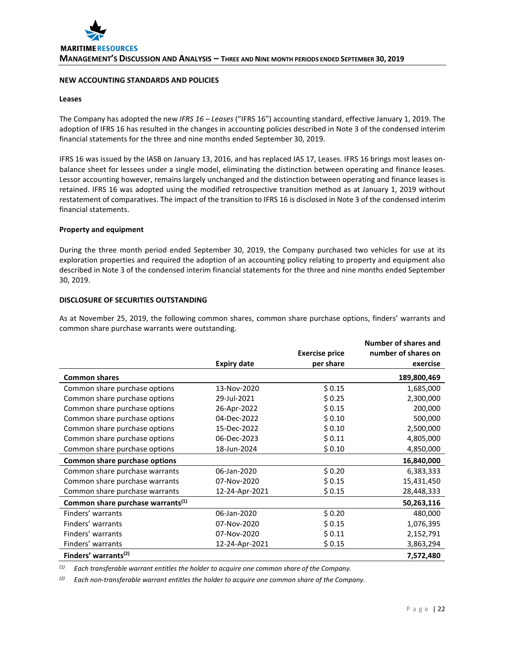#### **NEW ACCOUNTING STANDARDS AND POLICIES**

#### **Leases**

The Company has adopted the new *IFRS 16 – Leases* ("IFRS 16") accounting standard, effective January 1, 2019. The adoption of IFRS 16 has resulted in the changes in accounting policies described in Note 3 of the condensed interim financial statements for the three and nine months ended September 30, 2019.

IFRS 16 was issued by the IASB on January 13, 2016, and has replaced IAS 17, Leases. IFRS 16 brings most leases onbalance sheet for lessees under a single model, eliminating the distinction between operating and finance leases. Lessor accounting however, remains largely unchanged and the distinction between operating and finance leases is retained. IFRS 16 was adopted using the modified retrospective transition method as at January 1, 2019 without restatement of comparatives. The impact of the transition to IFRS 16 is disclosed in Note 3 of the condensed interim financial statements.

#### **Property and equipment**

During the three month period ended September 30, 2019, the Company purchased two vehicles for use at its exploration properties and required the adoption of an accounting policy relating to property and equipment also described in Note 3 of the condensed interim financial statements for the three and nine months ended September 30, 2019.

# **DISCLOSURE OF SECURITIES OUTSTANDING**

As at November 25, 2019, the following common shares, common share purchase options, finders' warrants and common share purchase warrants were outstanding.

|                                               |                    |                       | <b>Number of shares and</b> |
|-----------------------------------------------|--------------------|-----------------------|-----------------------------|
|                                               |                    | <b>Exercise price</b> | number of shares on         |
|                                               | <b>Expiry date</b> | per share             | exercise                    |
| <b>Common shares</b>                          |                    |                       | 189,800,469                 |
| Common share purchase options                 | 13-Nov-2020        | \$0.15                | 1,685,000                   |
| Common share purchase options                 | 29-Jul-2021        | \$0.25                | 2,300,000                   |
| Common share purchase options                 | 26-Apr-2022        | \$0.15                | 200,000                     |
| Common share purchase options                 | 04-Dec-2022        | \$0.10                | 500,000                     |
| Common share purchase options                 | 15-Dec-2022        | \$0.10                | 2,500,000                   |
| Common share purchase options                 | 06-Dec-2023        | \$0.11                | 4,805,000                   |
| Common share purchase options                 | 18-Jun-2024        | \$0.10                | 4,850,000                   |
| Common share purchase options                 |                    |                       | 16,840,000                  |
| Common share purchase warrants                | 06-Jan-2020        | \$0.20                | 6,383,333                   |
| Common share purchase warrants                | 07-Nov-2020        | \$0.15                | 15,431,450                  |
| Common share purchase warrants                | 12-24-Apr-2021     | \$0.15                | 28,448,333                  |
| Common share purchase warrants <sup>(1)</sup> |                    |                       | 50,263,116                  |
| Finders' warrants                             | 06-Jan-2020        | \$0.20                | 480,000                     |
| Finders' warrants                             | 07-Nov-2020        | \$0.15                | 1,076,395                   |
| Finders' warrants                             | 07-Nov-2020        | \$0.11                | 2,152,791                   |
| Finders' warrants                             | 12-24-Apr-2021     | \$0.15                | 3,863,294                   |
| Finders' warrants <sup>(2)</sup>              |                    |                       | 7,572,480                   |

*(1) Each transferable warrant entitles the holder to acquire one common share of the Company.*

*(2) Each non-transferable warrant entitles the holder to acquire one common share of the Company.*